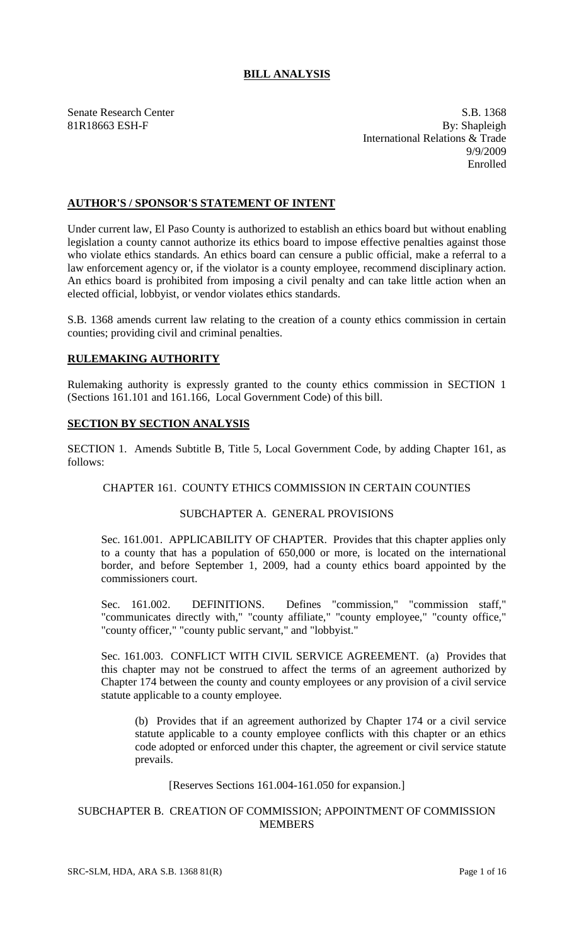# **BILL ANALYSIS**

Senate Research Center S.B. 1368 81R18663 ESH-F By: Shapleigh International Relations & Trade 9/9/2009 Enrolled

# **AUTHOR'S / SPONSOR'S STATEMENT OF INTENT**

Under current law, El Paso County is authorized to establish an ethics board but without enabling legislation a county cannot authorize its ethics board to impose effective penalties against those who violate ethics standards. An ethics board can censure a public official, make a referral to a law enforcement agency or, if the violator is a county employee, recommend disciplinary action. An ethics board is prohibited from imposing a civil penalty and can take little action when an elected official, lobbyist, or vendor violates ethics standards.

S.B. 1368 amends current law relating to the creation of a county ethics commission in certain counties; providing civil and criminal penalties.

# **RULEMAKING AUTHORITY**

Rulemaking authority is expressly granted to the county ethics commission in SECTION 1 (Sections 161.101 and 161.166, Local Government Code) of this bill.

#### **SECTION BY SECTION ANALYSIS**

SECTION 1. Amends Subtitle B, Title 5, Local Government Code, by adding Chapter 161, as follows:

# CHAPTER 161. COUNTY ETHICS COMMISSION IN CERTAIN COUNTIES

# SUBCHAPTER A. GENERAL PROVISIONS

Sec. 161.001. APPLICABILITY OF CHAPTER. Provides that this chapter applies only to a county that has a population of 650,000 or more, is located on the international border, and before September 1, 2009, had a county ethics board appointed by the commissioners court.

Sec. 161.002. DEFINITIONS. Defines "commission," "commission staff," "communicates directly with," "county affiliate," "county employee," "county office," "county officer," "county public servant," and "lobbyist."

Sec. 161.003. CONFLICT WITH CIVIL SERVICE AGREEMENT. (a) Provides that this chapter may not be construed to affect the terms of an agreement authorized by Chapter 174 between the county and county employees or any provision of a civil service statute applicable to a county employee.

(b) Provides that if an agreement authorized by Chapter 174 or a civil service statute applicable to a county employee conflicts with this chapter or an ethics code adopted or enforced under this chapter, the agreement or civil service statute prevails.

### [Reserves Sections 161.004-161.050 for expansion.]

# SUBCHAPTER B. CREATION OF COMMISSION; APPOINTMENT OF COMMISSION MEMBERS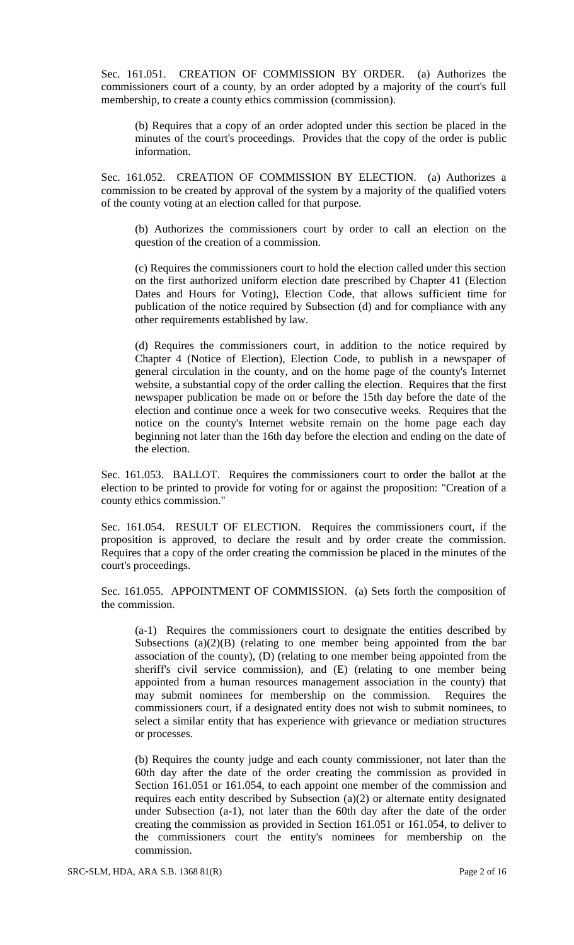Sec. 161.051. CREATION OF COMMISSION BY ORDER. (a) Authorizes the commissioners court of a county, by an order adopted by a majority of the court's full membership, to create a county ethics commission (commission).

(b) Requires that a copy of an order adopted under this section be placed in the minutes of the court's proceedings. Provides that the copy of the order is public information.

Sec. 161.052. CREATION OF COMMISSION BY ELECTION. (a) Authorizes a commission to be created by approval of the system by a majority of the qualified voters of the county voting at an election called for that purpose.

(b) Authorizes the commissioners court by order to call an election on the question of the creation of a commission.

(c) Requires the commissioners court to hold the election called under this section on the first authorized uniform election date prescribed by Chapter 41 (Election Dates and Hours for Voting), Election Code, that allows sufficient time for publication of the notice required by Subsection (d) and for compliance with any other requirements established by law.

(d) Requires the commissioners court, in addition to the notice required by Chapter 4 (Notice of Election), Election Code, to publish in a newspaper of general circulation in the county, and on the home page of the county's Internet website, a substantial copy of the order calling the election. Requires that the first newspaper publication be made on or before the 15th day before the date of the election and continue once a week for two consecutive weeks. Requires that the notice on the county's Internet website remain on the home page each day beginning not later than the 16th day before the election and ending on the date of the election.

Sec. 161.053. BALLOT. Requires the commissioners court to order the ballot at the election to be printed to provide for voting for or against the proposition: "Creation of a county ethics commission."

Sec. 161.054. RESULT OF ELECTION. Requires the commissioners court, if the proposition is approved, to declare the result and by order create the commission. Requires that a copy of the order creating the commission be placed in the minutes of the court's proceedings.

Sec. 161.055. APPOINTMENT OF COMMISSION. (a) Sets forth the composition of the commission.

(a-1) Requires the commissioners court to designate the entities described by Subsections  $(a)(2)(B)$  (relating to one member being appointed from the bar association of the county), (D) (relating to one member being appointed from the sheriff's civil service commission), and (E) (relating to one member being appointed from a human resources management association in the county) that may submit nominees for membership on the commission. Requires the commissioners court, if a designated entity does not wish to submit nominees, to select a similar entity that has experience with grievance or mediation structures or processes.

(b) Requires the county judge and each county commissioner, not later than the 60th day after the date of the order creating the commission as provided in Section 161.051 or 161.054, to each appoint one member of the commission and requires each entity described by Subsection (a)(2) or alternate entity designated under Subsection (a-1), not later than the 60th day after the date of the order creating the commission as provided in Section 161.051 or 161.054, to deliver to the commissioners court the entity's nominees for membership on the commission.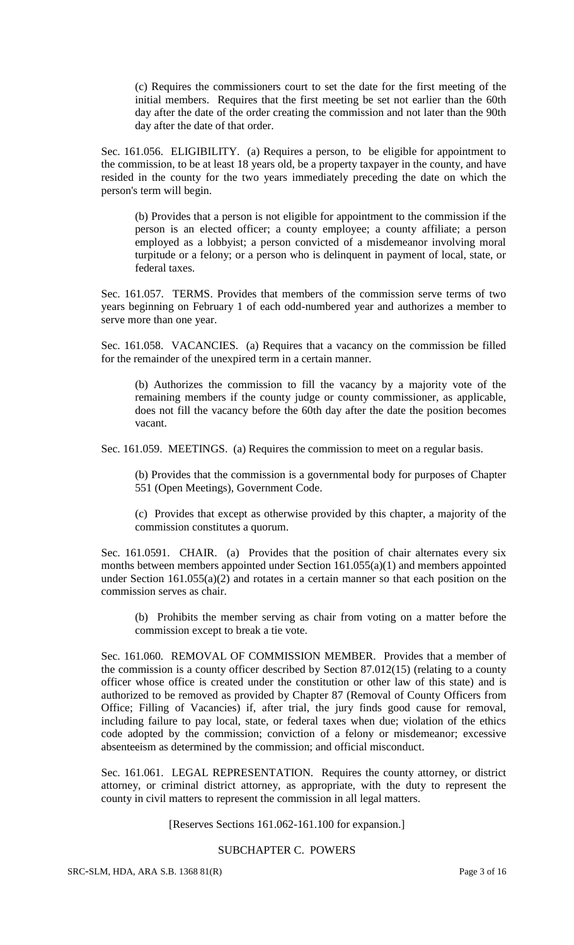(c) Requires the commissioners court to set the date for the first meeting of the initial members. Requires that the first meeting be set not earlier than the 60th day after the date of the order creating the commission and not later than the 90th day after the date of that order.

Sec. 161.056. ELIGIBILITY. (a) Requires a person, to be eligible for appointment to the commission, to be at least 18 years old, be a property taxpayer in the county, and have resided in the county for the two years immediately preceding the date on which the person's term will begin.

(b) Provides that a person is not eligible for appointment to the commission if the person is an elected officer; a county employee; a county affiliate; a person employed as a lobbyist; a person convicted of a misdemeanor involving moral turpitude or a felony; or a person who is delinquent in payment of local, state, or federal taxes.

Sec. 161.057. TERMS. Provides that members of the commission serve terms of two years beginning on February 1 of each odd-numbered year and authorizes a member to serve more than one year.

Sec. 161.058. VACANCIES. (a) Requires that a vacancy on the commission be filled for the remainder of the unexpired term in a certain manner.

(b) Authorizes the commission to fill the vacancy by a majority vote of the remaining members if the county judge or county commissioner, as applicable, does not fill the vacancy before the 60th day after the date the position becomes vacant.

Sec. 161.059. MEETINGS. (a) Requires the commission to meet on a regular basis.

(b) Provides that the commission is a governmental body for purposes of Chapter 551 (Open Meetings), Government Code.

(c) Provides that except as otherwise provided by this chapter, a majority of the commission constitutes a quorum.

Sec. 161.0591. CHAIR. (a) Provides that the position of chair alternates every six months between members appointed under Section 161.055(a)(1) and members appointed under Section 161.055(a)(2) and rotates in a certain manner so that each position on the commission serves as chair.

(b) Prohibits the member serving as chair from voting on a matter before the commission except to break a tie vote.

Sec. 161.060. REMOVAL OF COMMISSION MEMBER. Provides that a member of the commission is a county officer described by Section 87.012(15) (relating to a county officer whose office is created under the constitution or other law of this state) and is authorized to be removed as provided by Chapter 87 (Removal of County Officers from Office; Filling of Vacancies) if, after trial, the jury finds good cause for removal, including failure to pay local, state, or federal taxes when due; violation of the ethics code adopted by the commission; conviction of a felony or misdemeanor; excessive absenteeism as determined by the commission; and official misconduct.

Sec. 161.061. LEGAL REPRESENTATION. Requires the county attorney, or district attorney, or criminal district attorney, as appropriate, with the duty to represent the county in civil matters to represent the commission in all legal matters.

[Reserves Sections 161.062-161.100 for expansion.]

# SUBCHAPTER C. POWERS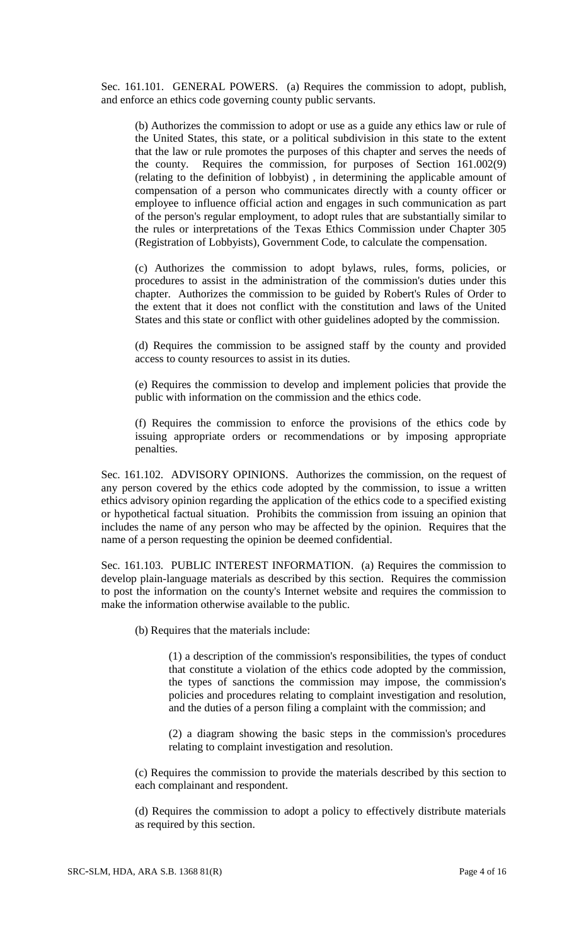Sec. 161.101. GENERAL POWERS. (a) Requires the commission to adopt, publish, and enforce an ethics code governing county public servants.

(b) Authorizes the commission to adopt or use as a guide any ethics law or rule of the United States, this state, or a political subdivision in this state to the extent that the law or rule promotes the purposes of this chapter and serves the needs of the county. Requires the commission, for purposes of Section 161.002(9) (relating to the definition of lobbyist) , in determining the applicable amount of compensation of a person who communicates directly with a county officer or employee to influence official action and engages in such communication as part of the person's regular employment, to adopt rules that are substantially similar to the rules or interpretations of the Texas Ethics Commission under Chapter 305 (Registration of Lobbyists), Government Code, to calculate the compensation.

(c) Authorizes the commission to adopt bylaws, rules, forms, policies, or procedures to assist in the administration of the commission's duties under this chapter. Authorizes the commission to be guided by Robert's Rules of Order to the extent that it does not conflict with the constitution and laws of the United States and this state or conflict with other guidelines adopted by the commission.

(d) Requires the commission to be assigned staff by the county and provided access to county resources to assist in its duties.

(e) Requires the commission to develop and implement policies that provide the public with information on the commission and the ethics code.

(f) Requires the commission to enforce the provisions of the ethics code by issuing appropriate orders or recommendations or by imposing appropriate penalties.

Sec. 161.102. ADVISORY OPINIONS. Authorizes the commission, on the request of any person covered by the ethics code adopted by the commission, to issue a written ethics advisory opinion regarding the application of the ethics code to a specified existing or hypothetical factual situation. Prohibits the commission from issuing an opinion that includes the name of any person who may be affected by the opinion. Requires that the name of a person requesting the opinion be deemed confidential.

Sec. 161.103. PUBLIC INTEREST INFORMATION. (a) Requires the commission to develop plain-language materials as described by this section. Requires the commission to post the information on the county's Internet website and requires the commission to make the information otherwise available to the public.

(b) Requires that the materials include:

(1) a description of the commission's responsibilities, the types of conduct that constitute a violation of the ethics code adopted by the commission, the types of sanctions the commission may impose, the commission's policies and procedures relating to complaint investigation and resolution, and the duties of a person filing a complaint with the commission; and

(2) a diagram showing the basic steps in the commission's procedures relating to complaint investigation and resolution.

(c) Requires the commission to provide the materials described by this section to each complainant and respondent.

(d) Requires the commission to adopt a policy to effectively distribute materials as required by this section.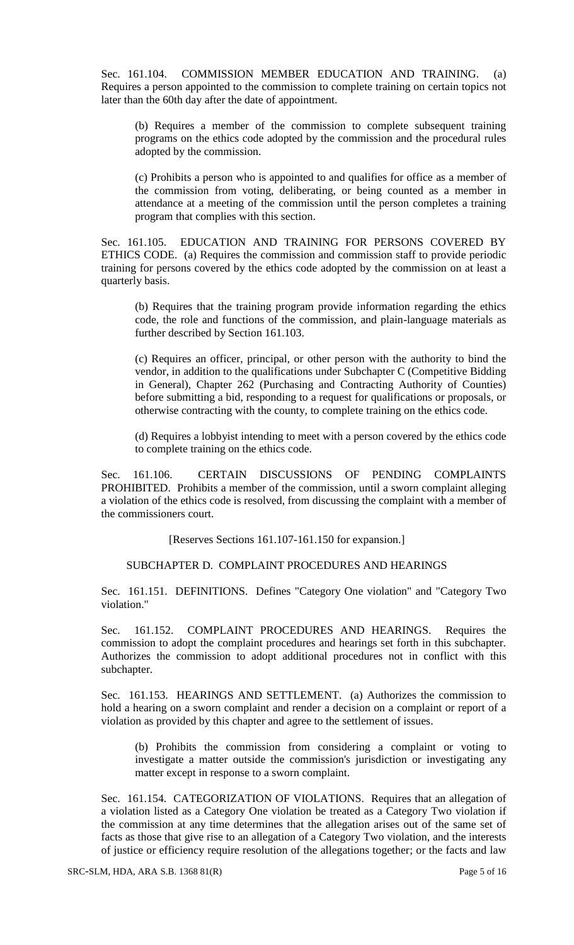Sec. 161.104. COMMISSION MEMBER EDUCATION AND TRAINING. (a) Requires a person appointed to the commission to complete training on certain topics not later than the 60th day after the date of appointment.

(b) Requires a member of the commission to complete subsequent training programs on the ethics code adopted by the commission and the procedural rules adopted by the commission.

(c) Prohibits a person who is appointed to and qualifies for office as a member of the commission from voting, deliberating, or being counted as a member in attendance at a meeting of the commission until the person completes a training program that complies with this section.

Sec. 161.105. EDUCATION AND TRAINING FOR PERSONS COVERED BY ETHICS CODE. (a) Requires the commission and commission staff to provide periodic training for persons covered by the ethics code adopted by the commission on at least a quarterly basis.

(b) Requires that the training program provide information regarding the ethics code, the role and functions of the commission, and plain-language materials as further described by Section 161.103.

(c) Requires an officer, principal, or other person with the authority to bind the vendor, in addition to the qualifications under Subchapter C (Competitive Bidding in General), Chapter 262 (Purchasing and Contracting Authority of Counties) before submitting a bid, responding to a request for qualifications or proposals, or otherwise contracting with the county, to complete training on the ethics code.

(d) Requires a lobbyist intending to meet with a person covered by the ethics code to complete training on the ethics code.

Sec. 161.106. CERTAIN DISCUSSIONS OF PENDING COMPLAINTS PROHIBITED. Prohibits a member of the commission, until a sworn complaint alleging a violation of the ethics code is resolved, from discussing the complaint with a member of the commissioners court.

[Reserves Sections 161.107-161.150 for expansion.]

# SUBCHAPTER D. COMPLAINT PROCEDURES AND HEARINGS

Sec. 161.151. DEFINITIONS. Defines "Category One violation" and "Category Two violation."

Sec. 161.152. COMPLAINT PROCEDURES AND HEARINGS. Requires the commission to adopt the complaint procedures and hearings set forth in this subchapter. Authorizes the commission to adopt additional procedures not in conflict with this subchapter.

Sec. 161.153. HEARINGS AND SETTLEMENT. (a) Authorizes the commission to hold a hearing on a sworn complaint and render a decision on a complaint or report of a violation as provided by this chapter and agree to the settlement of issues.

(b) Prohibits the commission from considering a complaint or voting to investigate a matter outside the commission's jurisdiction or investigating any matter except in response to a sworn complaint.

Sec. 161.154. CATEGORIZATION OF VIOLATIONS. Requires that an allegation of a violation listed as a Category One violation be treated as a Category Two violation if the commission at any time determines that the allegation arises out of the same set of facts as those that give rise to an allegation of a Category Two violation, and the interests of justice or efficiency require resolution of the allegations together; or the facts and law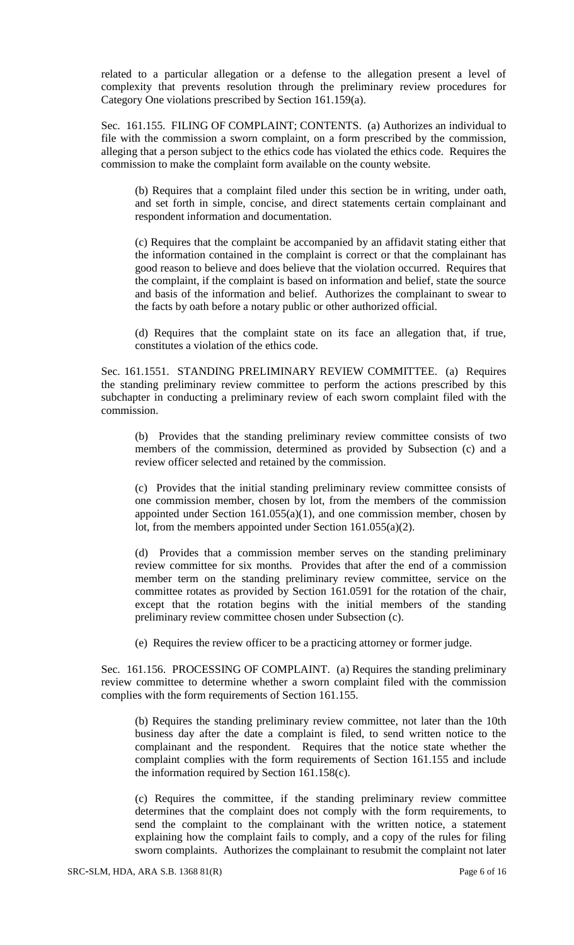related to a particular allegation or a defense to the allegation present a level of complexity that prevents resolution through the preliminary review procedures for Category One violations prescribed by Section 161.159(a).

Sec. 161.155. FILING OF COMPLAINT; CONTENTS. (a) Authorizes an individual to file with the commission a sworn complaint, on a form prescribed by the commission, alleging that a person subject to the ethics code has violated the ethics code. Requires the commission to make the complaint form available on the county website.

(b) Requires that a complaint filed under this section be in writing, under oath, and set forth in simple, concise, and direct statements certain complainant and respondent information and documentation.

(c) Requires that the complaint be accompanied by an affidavit stating either that the information contained in the complaint is correct or that the complainant has good reason to believe and does believe that the violation occurred. Requires that the complaint, if the complaint is based on information and belief, state the source and basis of the information and belief. Authorizes the complainant to swear to the facts by oath before a notary public or other authorized official.

(d) Requires that the complaint state on its face an allegation that, if true, constitutes a violation of the ethics code.

Sec. 161.1551. STANDING PRELIMINARY REVIEW COMMITTEE. (a) Requires the standing preliminary review committee to perform the actions prescribed by this subchapter in conducting a preliminary review of each sworn complaint filed with the commission.

(b) Provides that the standing preliminary review committee consists of two members of the commission, determined as provided by Subsection (c) and a review officer selected and retained by the commission.

(c) Provides that the initial standing preliminary review committee consists of one commission member, chosen by lot, from the members of the commission appointed under Section  $161.055(a)(1)$ , and one commission member, chosen by lot, from the members appointed under Section 161.055(a)(2).

(d) Provides that a commission member serves on the standing preliminary review committee for six months. Provides that after the end of a commission member term on the standing preliminary review committee, service on the committee rotates as provided by Section 161.0591 for the rotation of the chair, except that the rotation begins with the initial members of the standing preliminary review committee chosen under Subsection (c).

(e) Requires the review officer to be a practicing attorney or former judge.

Sec. 161.156. PROCESSING OF COMPLAINT. (a) Requires the standing preliminary review committee to determine whether a sworn complaint filed with the commission complies with the form requirements of Section 161.155.

(b) Requires the standing preliminary review committee, not later than the 10th business day after the date a complaint is filed, to send written notice to the complainant and the respondent. Requires that the notice state whether the complaint complies with the form requirements of Section 161.155 and include the information required by Section 161.158(c).

(c) Requires the committee, if the standing preliminary review committee determines that the complaint does not comply with the form requirements, to send the complaint to the complainant with the written notice, a statement explaining how the complaint fails to comply, and a copy of the rules for filing sworn complaints. Authorizes the complainant to resubmit the complaint not later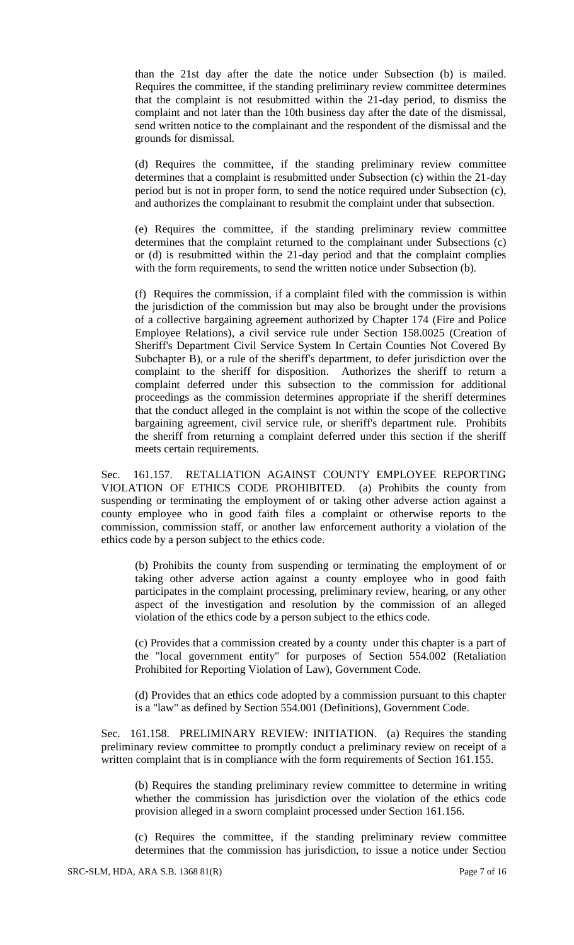than the 21st day after the date the notice under Subsection (b) is mailed. Requires the committee, if the standing preliminary review committee determines that the complaint is not resubmitted within the 21-day period, to dismiss the complaint and not later than the 10th business day after the date of the dismissal, send written notice to the complainant and the respondent of the dismissal and the grounds for dismissal.

(d) Requires the committee, if the standing preliminary review committee determines that a complaint is resubmitted under Subsection (c) within the 21-day period but is not in proper form, to send the notice required under Subsection (c), and authorizes the complainant to resubmit the complaint under that subsection.

(e) Requires the committee, if the standing preliminary review committee determines that the complaint returned to the complainant under Subsections (c) or (d) is resubmitted within the 21-day period and that the complaint complies with the form requirements, to send the written notice under Subsection (b).

(f) Requires the commission, if a complaint filed with the commission is within the jurisdiction of the commission but may also be brought under the provisions of a collective bargaining agreement authorized by Chapter 174 (Fire and Police Employee Relations), a civil service rule under Section 158.0025 (Creation of Sheriff's Department Civil Service System In Certain Counties Not Covered By Subchapter B), or a rule of the sheriff's department, to defer jurisdiction over the complaint to the sheriff for disposition. Authorizes the sheriff to return a complaint deferred under this subsection to the commission for additional proceedings as the commission determines appropriate if the sheriff determines that the conduct alleged in the complaint is not within the scope of the collective bargaining agreement, civil service rule, or sheriff's department rule. Prohibits the sheriff from returning a complaint deferred under this section if the sheriff meets certain requirements.

Sec. 161.157. RETALIATION AGAINST COUNTY EMPLOYEE REPORTING VIOLATION OF ETHICS CODE PROHIBITED. (a) Prohibits the county from suspending or terminating the employment of or taking other adverse action against a county employee who in good faith files a complaint or otherwise reports to the commission, commission staff, or another law enforcement authority a violation of the ethics code by a person subject to the ethics code.

(b) Prohibits the county from suspending or terminating the employment of or taking other adverse action against a county employee who in good faith participates in the complaint processing, preliminary review, hearing, or any other aspect of the investigation and resolution by the commission of an alleged violation of the ethics code by a person subject to the ethics code.

(c) Provides that a commission created by a county under this chapter is a part of the "local government entity" for purposes of Section 554.002 (Retaliation Prohibited for Reporting Violation of Law), Government Code.

(d) Provides that an ethics code adopted by a commission pursuant to this chapter is a "law" as defined by Section 554.001 (Definitions), Government Code.

Sec. 161.158. PRELIMINARY REVIEW: INITIATION. (a) Requires the standing preliminary review committee to promptly conduct a preliminary review on receipt of a written complaint that is in compliance with the form requirements of Section 161.155.

(b) Requires the standing preliminary review committee to determine in writing whether the commission has jurisdiction over the violation of the ethics code provision alleged in a sworn complaint processed under Section 161.156.

(c) Requires the committee, if the standing preliminary review committee determines that the commission has jurisdiction, to issue a notice under Section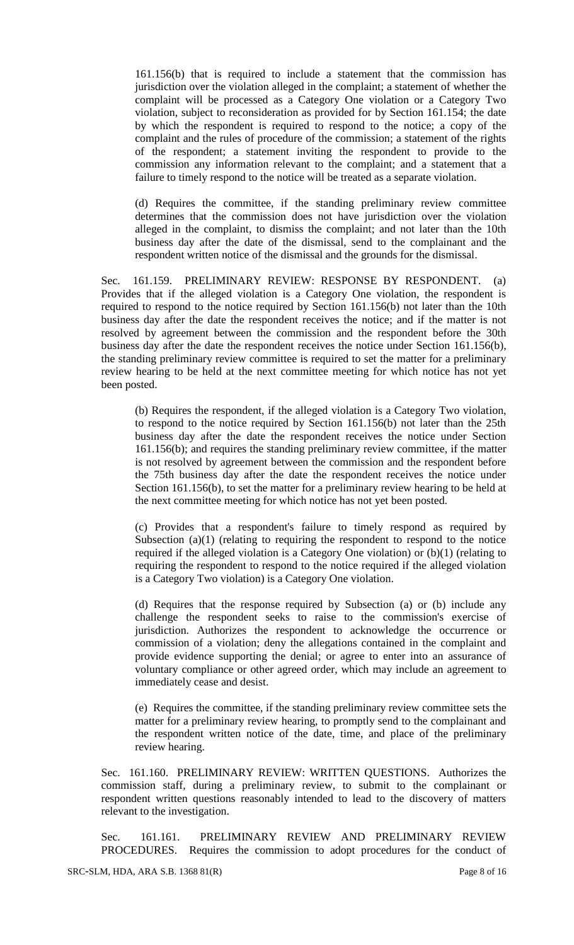161.156(b) that is required to include a statement that the commission has jurisdiction over the violation alleged in the complaint; a statement of whether the complaint will be processed as a Category One violation or a Category Two violation, subject to reconsideration as provided for by Section 161.154; the date by which the respondent is required to respond to the notice; a copy of the complaint and the rules of procedure of the commission; a statement of the rights of the respondent; a statement inviting the respondent to provide to the commission any information relevant to the complaint; and a statement that a failure to timely respond to the notice will be treated as a separate violation.

(d) Requires the committee, if the standing preliminary review committee determines that the commission does not have jurisdiction over the violation alleged in the complaint, to dismiss the complaint; and not later than the 10th business day after the date of the dismissal, send to the complainant and the respondent written notice of the dismissal and the grounds for the dismissal.

Sec. 161.159. PRELIMINARY REVIEW: RESPONSE BY RESPONDENT. (a) Provides that if the alleged violation is a Category One violation, the respondent is required to respond to the notice required by Section 161.156(b) not later than the 10th business day after the date the respondent receives the notice; and if the matter is not resolved by agreement between the commission and the respondent before the 30th business day after the date the respondent receives the notice under Section 161.156(b), the standing preliminary review committee is required to set the matter for a preliminary review hearing to be held at the next committee meeting for which notice has not yet been posted.

(b) Requires the respondent, if the alleged violation is a Category Two violation, to respond to the notice required by Section 161.156(b) not later than the 25th business day after the date the respondent receives the notice under Section 161.156(b); and requires the standing preliminary review committee, if the matter is not resolved by agreement between the commission and the respondent before the 75th business day after the date the respondent receives the notice under Section 161.156(b), to set the matter for a preliminary review hearing to be held at the next committee meeting for which notice has not yet been posted.

(c) Provides that a respondent's failure to timely respond as required by Subsection  $(a)(1)$  (relating to requiring the respondent to respond to the notice required if the alleged violation is a Category One violation) or (b)(1) (relating to requiring the respondent to respond to the notice required if the alleged violation is a Category Two violation) is a Category One violation.

(d) Requires that the response required by Subsection (a) or (b) include any challenge the respondent seeks to raise to the commission's exercise of jurisdiction. Authorizes the respondent to acknowledge the occurrence or commission of a violation; deny the allegations contained in the complaint and provide evidence supporting the denial; or agree to enter into an assurance of voluntary compliance or other agreed order, which may include an agreement to immediately cease and desist.

(e) Requires the committee, if the standing preliminary review committee sets the matter for a preliminary review hearing, to promptly send to the complainant and the respondent written notice of the date, time, and place of the preliminary review hearing.

Sec. 161.160. PRELIMINARY REVIEW: WRITTEN QUESTIONS. Authorizes the commission staff, during a preliminary review, to submit to the complainant or respondent written questions reasonably intended to lead to the discovery of matters relevant to the investigation.

Sec. 161.161. PRELIMINARY REVIEW AND PRELIMINARY REVIEW PROCEDURES. Requires the commission to adopt procedures for the conduct of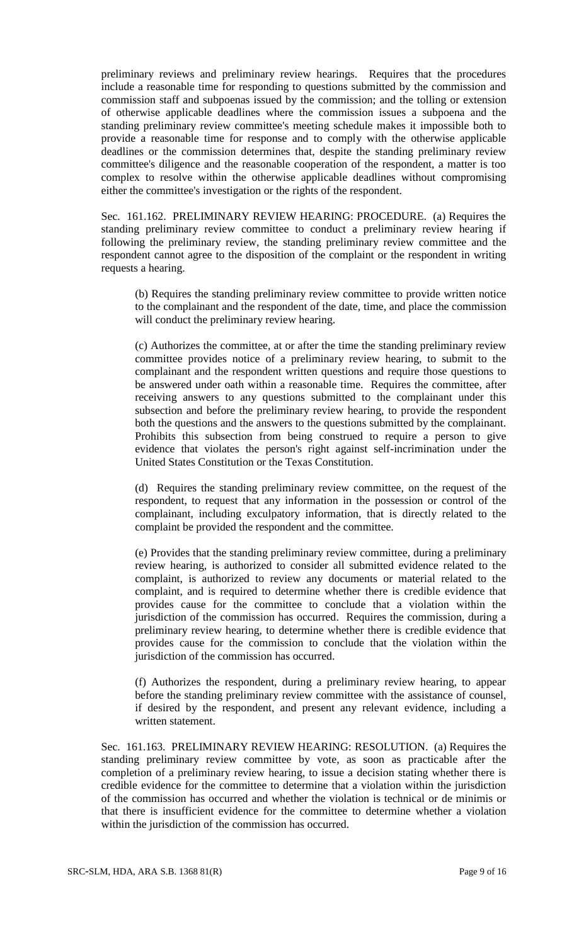preliminary reviews and preliminary review hearings. Requires that the procedures include a reasonable time for responding to questions submitted by the commission and commission staff and subpoenas issued by the commission; and the tolling or extension of otherwise applicable deadlines where the commission issues a subpoena and the standing preliminary review committee's meeting schedule makes it impossible both to provide a reasonable time for response and to comply with the otherwise applicable deadlines or the commission determines that, despite the standing preliminary review committee's diligence and the reasonable cooperation of the respondent, a matter is too complex to resolve within the otherwise applicable deadlines without compromising either the committee's investigation or the rights of the respondent.

Sec. 161.162. PRELIMINARY REVIEW HEARING: PROCEDURE. (a) Requires the standing preliminary review committee to conduct a preliminary review hearing if following the preliminary review, the standing preliminary review committee and the respondent cannot agree to the disposition of the complaint or the respondent in writing requests a hearing.

(b) Requires the standing preliminary review committee to provide written notice to the complainant and the respondent of the date, time, and place the commission will conduct the preliminary review hearing.

(c) Authorizes the committee, at or after the time the standing preliminary review committee provides notice of a preliminary review hearing, to submit to the complainant and the respondent written questions and require those questions to be answered under oath within a reasonable time. Requires the committee, after receiving answers to any questions submitted to the complainant under this subsection and before the preliminary review hearing, to provide the respondent both the questions and the answers to the questions submitted by the complainant. Prohibits this subsection from being construed to require a person to give evidence that violates the person's right against self-incrimination under the United States Constitution or the Texas Constitution.

(d) Requires the standing preliminary review committee, on the request of the respondent, to request that any information in the possession or control of the complainant, including exculpatory information, that is directly related to the complaint be provided the respondent and the committee.

(e) Provides that the standing preliminary review committee, during a preliminary review hearing, is authorized to consider all submitted evidence related to the complaint, is authorized to review any documents or material related to the complaint, and is required to determine whether there is credible evidence that provides cause for the committee to conclude that a violation within the jurisdiction of the commission has occurred. Requires the commission, during a preliminary review hearing, to determine whether there is credible evidence that provides cause for the commission to conclude that the violation within the jurisdiction of the commission has occurred.

(f) Authorizes the respondent, during a preliminary review hearing, to appear before the standing preliminary review committee with the assistance of counsel, if desired by the respondent, and present any relevant evidence, including a written statement.

Sec. 161.163. PRELIMINARY REVIEW HEARING: RESOLUTION. (a) Requires the standing preliminary review committee by vote, as soon as practicable after the completion of a preliminary review hearing, to issue a decision stating whether there is credible evidence for the committee to determine that a violation within the jurisdiction of the commission has occurred and whether the violation is technical or de minimis or that there is insufficient evidence for the committee to determine whether a violation within the jurisdiction of the commission has occurred.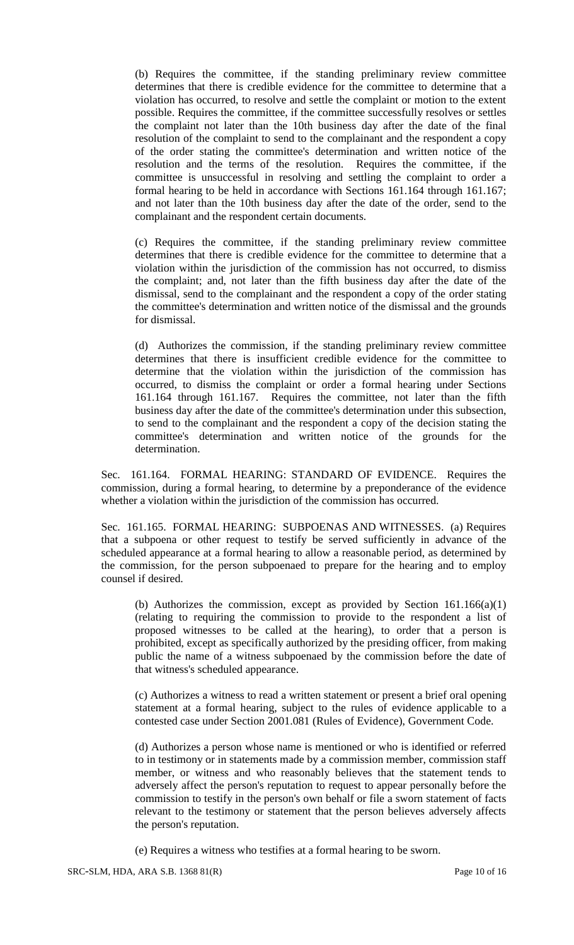(b) Requires the committee, if the standing preliminary review committee determines that there is credible evidence for the committee to determine that a violation has occurred, to resolve and settle the complaint or motion to the extent possible. Requires the committee, if the committee successfully resolves or settles the complaint not later than the 10th business day after the date of the final resolution of the complaint to send to the complainant and the respondent a copy of the order stating the committee's determination and written notice of the resolution and the terms of the resolution. Requires the committee, if the committee is unsuccessful in resolving and settling the complaint to order a formal hearing to be held in accordance with Sections 161.164 through 161.167; and not later than the 10th business day after the date of the order, send to the complainant and the respondent certain documents.

(c) Requires the committee, if the standing preliminary review committee determines that there is credible evidence for the committee to determine that a violation within the jurisdiction of the commission has not occurred, to dismiss the complaint; and, not later than the fifth business day after the date of the dismissal, send to the complainant and the respondent a copy of the order stating the committee's determination and written notice of the dismissal and the grounds for dismissal.

(d) Authorizes the commission, if the standing preliminary review committee determines that there is insufficient credible evidence for the committee to determine that the violation within the jurisdiction of the commission has occurred, to dismiss the complaint or order a formal hearing under Sections 161.164 through 161.167. Requires the committee, not later than the fifth business day after the date of the committee's determination under this subsection, to send to the complainant and the respondent a copy of the decision stating the committee's determination and written notice of the grounds for the determination.

Sec. 161.164. FORMAL HEARING: STANDARD OF EVIDENCE. Requires the commission, during a formal hearing, to determine by a preponderance of the evidence whether a violation within the jurisdiction of the commission has occurred.

Sec. 161.165. FORMAL HEARING: SUBPOENAS AND WITNESSES. (a) Requires that a subpoena or other request to testify be served sufficiently in advance of the scheduled appearance at a formal hearing to allow a reasonable period, as determined by the commission, for the person subpoenaed to prepare for the hearing and to employ counsel if desired.

(b) Authorizes the commission, except as provided by Section  $161.166(a)(1)$ (relating to requiring the commission to provide to the respondent a list of proposed witnesses to be called at the hearing), to order that a person is prohibited, except as specifically authorized by the presiding officer, from making public the name of a witness subpoenaed by the commission before the date of that witness's scheduled appearance.

(c) Authorizes a witness to read a written statement or present a brief oral opening statement at a formal hearing, subject to the rules of evidence applicable to a contested case under Section 2001.081 (Rules of Evidence), Government Code.

(d) Authorizes a person whose name is mentioned or who is identified or referred to in testimony or in statements made by a commission member, commission staff member, or witness and who reasonably believes that the statement tends to adversely affect the person's reputation to request to appear personally before the commission to testify in the person's own behalf or file a sworn statement of facts relevant to the testimony or statement that the person believes adversely affects the person's reputation.

(e) Requires a witness who testifies at a formal hearing to be sworn.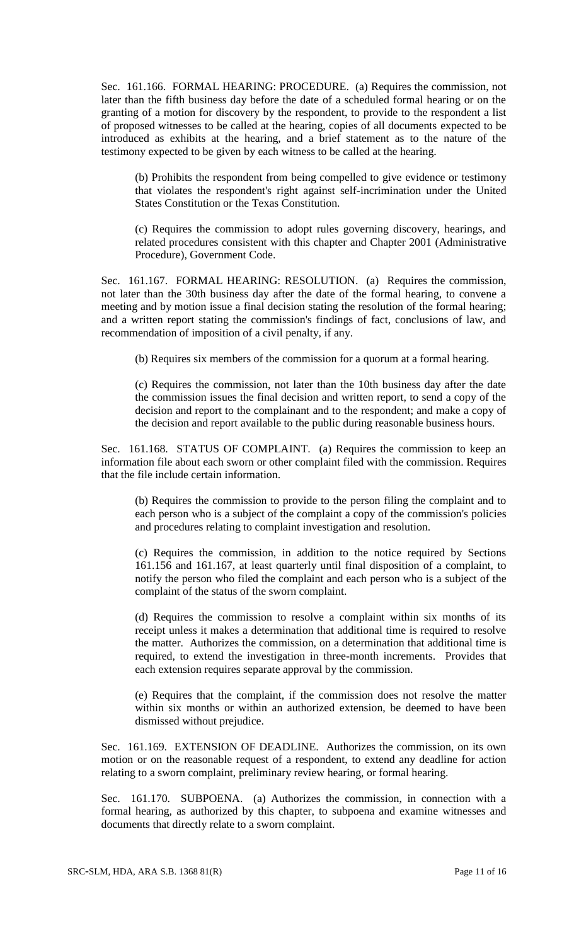Sec. 161.166. FORMAL HEARING: PROCEDURE. (a) Requires the commission, not later than the fifth business day before the date of a scheduled formal hearing or on the granting of a motion for discovery by the respondent, to provide to the respondent a list of proposed witnesses to be called at the hearing, copies of all documents expected to be introduced as exhibits at the hearing, and a brief statement as to the nature of the testimony expected to be given by each witness to be called at the hearing.

(b) Prohibits the respondent from being compelled to give evidence or testimony that violates the respondent's right against self-incrimination under the United States Constitution or the Texas Constitution.

(c) Requires the commission to adopt rules governing discovery, hearings, and related procedures consistent with this chapter and Chapter 2001 (Administrative Procedure), Government Code.

Sec. 161.167. FORMAL HEARING: RESOLUTION. (a) Requires the commission, not later than the 30th business day after the date of the formal hearing, to convene a meeting and by motion issue a final decision stating the resolution of the formal hearing; and a written report stating the commission's findings of fact, conclusions of law, and recommendation of imposition of a civil penalty, if any.

(b) Requires six members of the commission for a quorum at a formal hearing.

(c) Requires the commission, not later than the 10th business day after the date the commission issues the final decision and written report, to send a copy of the decision and report to the complainant and to the respondent; and make a copy of the decision and report available to the public during reasonable business hours.

Sec. 161.168. STATUS OF COMPLAINT. (a) Requires the commission to keep an information file about each sworn or other complaint filed with the commission. Requires that the file include certain information.

(b) Requires the commission to provide to the person filing the complaint and to each person who is a subject of the complaint a copy of the commission's policies and procedures relating to complaint investigation and resolution.

(c) Requires the commission, in addition to the notice required by Sections 161.156 and 161.167, at least quarterly until final disposition of a complaint, to notify the person who filed the complaint and each person who is a subject of the complaint of the status of the sworn complaint.

(d) Requires the commission to resolve a complaint within six months of its receipt unless it makes a determination that additional time is required to resolve the matter. Authorizes the commission, on a determination that additional time is required, to extend the investigation in three-month increments. Provides that each extension requires separate approval by the commission.

(e) Requires that the complaint, if the commission does not resolve the matter within six months or within an authorized extension, be deemed to have been dismissed without prejudice.

Sec. 161.169. EXTENSION OF DEADLINE. Authorizes the commission, on its own motion or on the reasonable request of a respondent, to extend any deadline for action relating to a sworn complaint, preliminary review hearing, or formal hearing.

Sec. 161.170. SUBPOENA. (a) Authorizes the commission, in connection with a formal hearing, as authorized by this chapter, to subpoena and examine witnesses and documents that directly relate to a sworn complaint.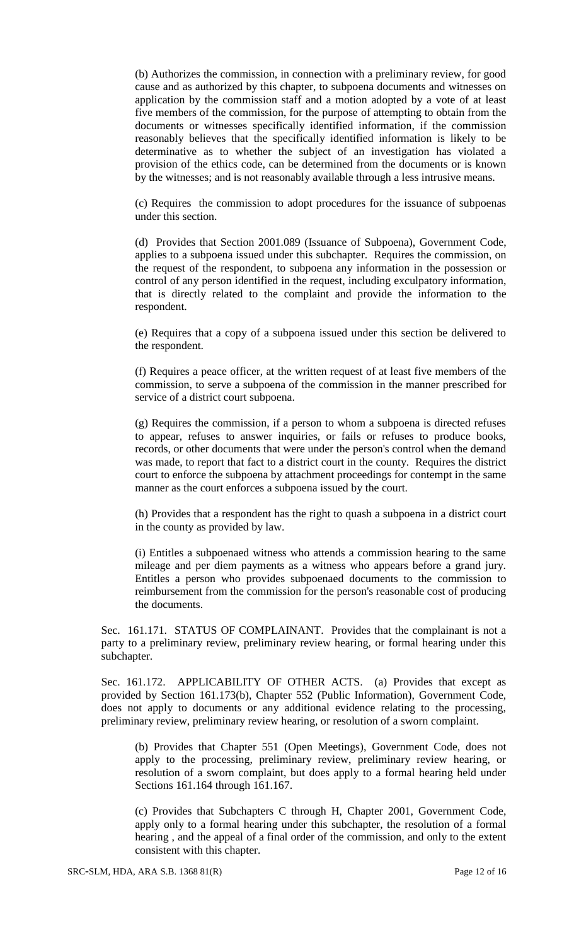(b) Authorizes the commission, in connection with a preliminary review, for good cause and as authorized by this chapter, to subpoena documents and witnesses on application by the commission staff and a motion adopted by a vote of at least five members of the commission, for the purpose of attempting to obtain from the documents or witnesses specifically identified information, if the commission reasonably believes that the specifically identified information is likely to be determinative as to whether the subject of an investigation has violated a provision of the ethics code, can be determined from the documents or is known by the witnesses; and is not reasonably available through a less intrusive means.

(c) Requires the commission to adopt procedures for the issuance of subpoenas under this section.

(d) Provides that Section 2001.089 (Issuance of Subpoena), Government Code, applies to a subpoena issued under this subchapter. Requires the commission, on the request of the respondent, to subpoena any information in the possession or control of any person identified in the request, including exculpatory information, that is directly related to the complaint and provide the information to the respondent.

(e) Requires that a copy of a subpoena issued under this section be delivered to the respondent.

(f) Requires a peace officer, at the written request of at least five members of the commission, to serve a subpoena of the commission in the manner prescribed for service of a district court subpoena.

(g) Requires the commission, if a person to whom a subpoena is directed refuses to appear, refuses to answer inquiries, or fails or refuses to produce books, records, or other documents that were under the person's control when the demand was made, to report that fact to a district court in the county. Requires the district court to enforce the subpoena by attachment proceedings for contempt in the same manner as the court enforces a subpoena issued by the court.

(h) Provides that a respondent has the right to quash a subpoena in a district court in the county as provided by law.

(i) Entitles a subpoenaed witness who attends a commission hearing to the same mileage and per diem payments as a witness who appears before a grand jury. Entitles a person who provides subpoenaed documents to the commission to reimbursement from the commission for the person's reasonable cost of producing the documents.

Sec. 161.171. STATUS OF COMPLAINANT. Provides that the complainant is not a party to a preliminary review, preliminary review hearing, or formal hearing under this subchapter.

Sec. 161.172. APPLICABILITY OF OTHER ACTS. (a) Provides that except as provided by Section 161.173(b), Chapter 552 (Public Information), Government Code, does not apply to documents or any additional evidence relating to the processing, preliminary review, preliminary review hearing, or resolution of a sworn complaint.

(b) Provides that Chapter 551 (Open Meetings), Government Code, does not apply to the processing, preliminary review, preliminary review hearing, or resolution of a sworn complaint, but does apply to a formal hearing held under Sections 161.164 through 161.167.

(c) Provides that Subchapters C through H, Chapter 2001, Government Code, apply only to a formal hearing under this subchapter, the resolution of a formal hearing , and the appeal of a final order of the commission, and only to the extent consistent with this chapter.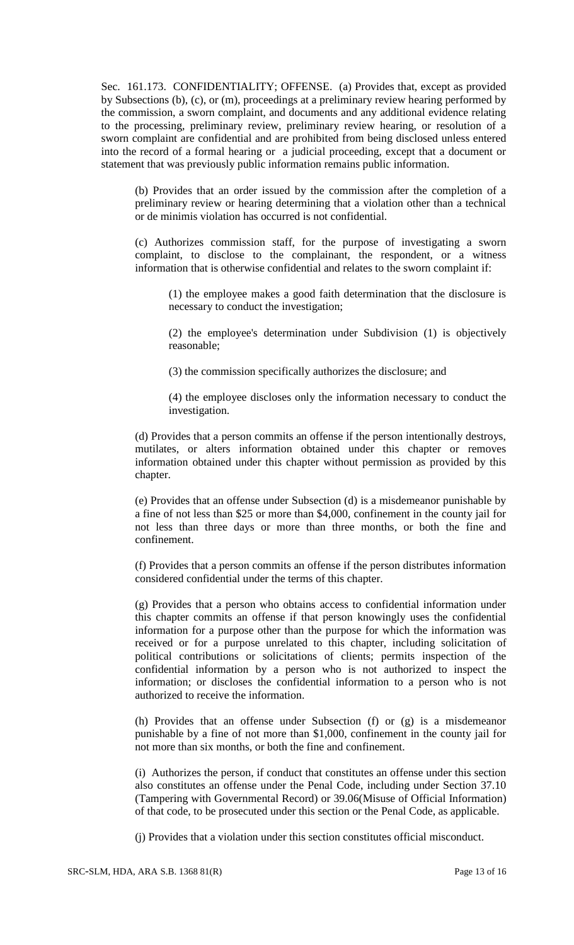Sec. 161.173. CONFIDENTIALITY; OFFENSE. (a) Provides that, except as provided by Subsections (b), (c), or (m), proceedings at a preliminary review hearing performed by the commission, a sworn complaint, and documents and any additional evidence relating to the processing, preliminary review, preliminary review hearing, or resolution of a sworn complaint are confidential and are prohibited from being disclosed unless entered into the record of a formal hearing or a judicial proceeding, except that a document or statement that was previously public information remains public information.

(b) Provides that an order issued by the commission after the completion of a preliminary review or hearing determining that a violation other than a technical or de minimis violation has occurred is not confidential.

(c) Authorizes commission staff, for the purpose of investigating a sworn complaint, to disclose to the complainant, the respondent, or a witness information that is otherwise confidential and relates to the sworn complaint if:

(1) the employee makes a good faith determination that the disclosure is necessary to conduct the investigation;

(2) the employee's determination under Subdivision (1) is objectively reasonable;

(3) the commission specifically authorizes the disclosure; and

(4) the employee discloses only the information necessary to conduct the investigation.

(d) Provides that a person commits an offense if the person intentionally destroys, mutilates, or alters information obtained under this chapter or removes information obtained under this chapter without permission as provided by this chapter.

(e) Provides that an offense under Subsection (d) is a misdemeanor punishable by a fine of not less than \$25 or more than \$4,000, confinement in the county jail for not less than three days or more than three months, or both the fine and confinement.

(f) Provides that a person commits an offense if the person distributes information considered confidential under the terms of this chapter.

(g) Provides that a person who obtains access to confidential information under this chapter commits an offense if that person knowingly uses the confidential information for a purpose other than the purpose for which the information was received or for a purpose unrelated to this chapter, including solicitation of political contributions or solicitations of clients; permits inspection of the confidential information by a person who is not authorized to inspect the information; or discloses the confidential information to a person who is not authorized to receive the information.

(h) Provides that an offense under Subsection (f) or (g) is a misdemeanor punishable by a fine of not more than \$1,000, confinement in the county jail for not more than six months, or both the fine and confinement.

(i) Authorizes the person, if conduct that constitutes an offense under this section also constitutes an offense under the Penal Code, including under Section 37.10 (Tampering with Governmental Record) or 39.06(Misuse of Official Information) of that code, to be prosecuted under this section or the Penal Code, as applicable.

(j) Provides that a violation under this section constitutes official misconduct.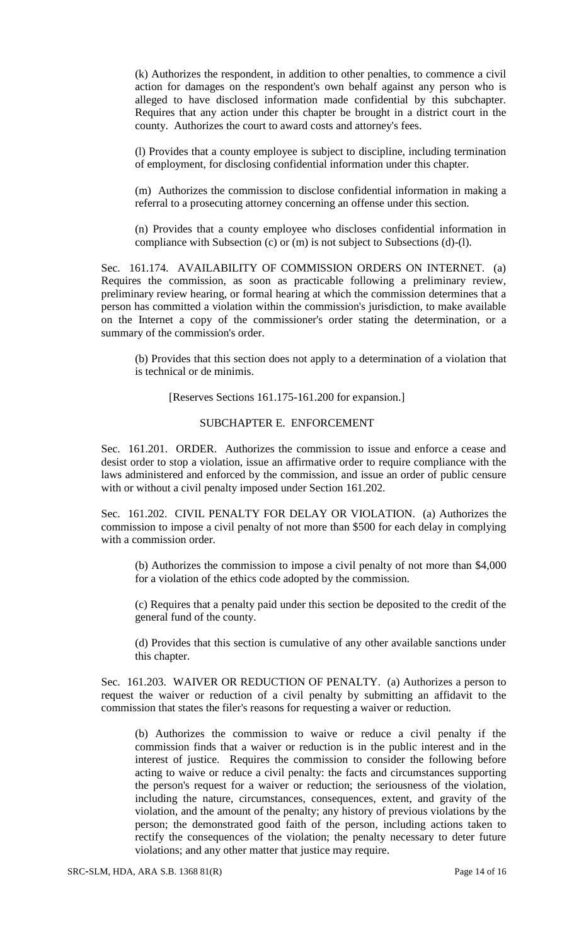(k) Authorizes the respondent, in addition to other penalties, to commence a civil action for damages on the respondent's own behalf against any person who is alleged to have disclosed information made confidential by this subchapter. Requires that any action under this chapter be brought in a district court in the county. Authorizes the court to award costs and attorney's fees.

(l) Provides that a county employee is subject to discipline, including termination of employment, for disclosing confidential information under this chapter.

(m) Authorizes the commission to disclose confidential information in making a referral to a prosecuting attorney concerning an offense under this section.

(n) Provides that a county employee who discloses confidential information in compliance with Subsection (c) or (m) is not subject to Subsections (d)-(l).

Sec. 161.174. AVAILABILITY OF COMMISSION ORDERS ON INTERNET. (a) Requires the commission, as soon as practicable following a preliminary review, preliminary review hearing, or formal hearing at which the commission determines that a person has committed a violation within the commission's jurisdiction, to make available on the Internet a copy of the commissioner's order stating the determination, or a summary of the commission's order.

(b) Provides that this section does not apply to a determination of a violation that is technical or de minimis.

[Reserves Sections 161.175-161.200 for expansion.]

# SUBCHAPTER E. ENFORCEMENT

Sec. 161.201. ORDER. Authorizes the commission to issue and enforce a cease and desist order to stop a violation, issue an affirmative order to require compliance with the laws administered and enforced by the commission, and issue an order of public censure with or without a civil penalty imposed under Section 161.202.

Sec. 161.202. CIVIL PENALTY FOR DELAY OR VIOLATION. (a) Authorizes the commission to impose a civil penalty of not more than \$500 for each delay in complying with a commission order.

(b) Authorizes the commission to impose a civil penalty of not more than \$4,000 for a violation of the ethics code adopted by the commission.

(c) Requires that a penalty paid under this section be deposited to the credit of the general fund of the county.

(d) Provides that this section is cumulative of any other available sanctions under this chapter.

Sec. 161.203. WAIVER OR REDUCTION OF PENALTY. (a) Authorizes a person to request the waiver or reduction of a civil penalty by submitting an affidavit to the commission that states the filer's reasons for requesting a waiver or reduction.

(b) Authorizes the commission to waive or reduce a civil penalty if the commission finds that a waiver or reduction is in the public interest and in the interest of justice. Requires the commission to consider the following before acting to waive or reduce a civil penalty: the facts and circumstances supporting the person's request for a waiver or reduction; the seriousness of the violation, including the nature, circumstances, consequences, extent, and gravity of the violation, and the amount of the penalty; any history of previous violations by the person; the demonstrated good faith of the person, including actions taken to rectify the consequences of the violation; the penalty necessary to deter future violations; and any other matter that justice may require.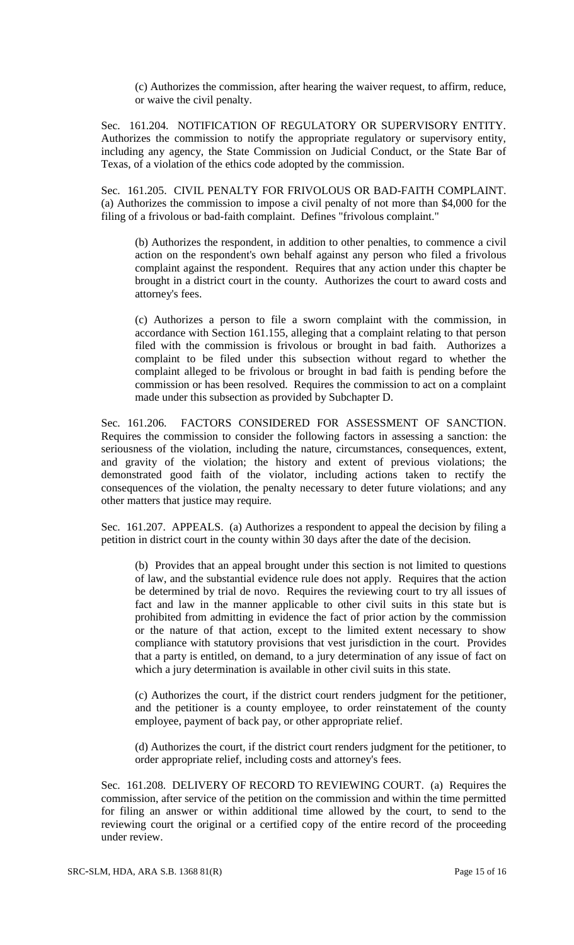(c) Authorizes the commission, after hearing the waiver request, to affirm, reduce, or waive the civil penalty.

Sec. 161.204. NOTIFICATION OF REGULATORY OR SUPERVISORY ENTITY. Authorizes the commission to notify the appropriate regulatory or supervisory entity, including any agency, the State Commission on Judicial Conduct, or the State Bar of Texas, of a violation of the ethics code adopted by the commission.

Sec. 161.205. CIVIL PENALTY FOR FRIVOLOUS OR BAD-FAITH COMPLAINT. (a) Authorizes the commission to impose a civil penalty of not more than \$4,000 for the filing of a frivolous or bad-faith complaint. Defines "frivolous complaint."

(b) Authorizes the respondent, in addition to other penalties, to commence a civil action on the respondent's own behalf against any person who filed a frivolous complaint against the respondent. Requires that any action under this chapter be brought in a district court in the county. Authorizes the court to award costs and attorney's fees.

(c) Authorizes a person to file a sworn complaint with the commission, in accordance with Section 161.155, alleging that a complaint relating to that person filed with the commission is frivolous or brought in bad faith. Authorizes a complaint to be filed under this subsection without regard to whether the complaint alleged to be frivolous or brought in bad faith is pending before the commission or has been resolved. Requires the commission to act on a complaint made under this subsection as provided by Subchapter D.

Sec. 161.206. FACTORS CONSIDERED FOR ASSESSMENT OF SANCTION. Requires the commission to consider the following factors in assessing a sanction: the seriousness of the violation, including the nature, circumstances, consequences, extent, and gravity of the violation; the history and extent of previous violations; the demonstrated good faith of the violator, including actions taken to rectify the consequences of the violation, the penalty necessary to deter future violations; and any other matters that justice may require.

Sec. 161.207. APPEALS. (a) Authorizes a respondent to appeal the decision by filing a petition in district court in the county within 30 days after the date of the decision.

(b) Provides that an appeal brought under this section is not limited to questions of law, and the substantial evidence rule does not apply. Requires that the action be determined by trial de novo. Requires the reviewing court to try all issues of fact and law in the manner applicable to other civil suits in this state but is prohibited from admitting in evidence the fact of prior action by the commission or the nature of that action, except to the limited extent necessary to show compliance with statutory provisions that vest jurisdiction in the court. Provides that a party is entitled, on demand, to a jury determination of any issue of fact on which a jury determination is available in other civil suits in this state.

(c) Authorizes the court, if the district court renders judgment for the petitioner, and the petitioner is a county employee, to order reinstatement of the county employee, payment of back pay, or other appropriate relief.

(d) Authorizes the court, if the district court renders judgment for the petitioner, to order appropriate relief, including costs and attorney's fees.

Sec. 161.208. DELIVERY OF RECORD TO REVIEWING COURT. (a) Requires the commission, after service of the petition on the commission and within the time permitted for filing an answer or within additional time allowed by the court, to send to the reviewing court the original or a certified copy of the entire record of the proceeding under review.